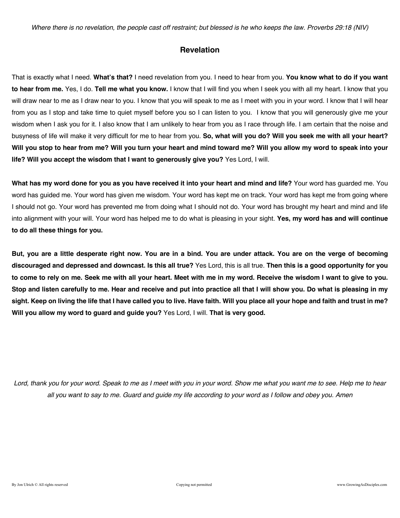*Where there is no revelation, the people cast off restraint; but blessed is he who keeps the law. Proverbs 29:18 (NIV)*

### **Revelation**

That is exactly what I need. **What's that?** I need revelation from you. I need to hear from you. **You know what to do if you want to hear from me.** Yes, I do. **Tell me what you know.** I know that I will find you when I seek you with all my heart. I know that you will draw near to me as I draw near to you. I know that you will speak to me as I meet with you in your word. I know that I will hear from you as I stop and take time to quiet myself before you so I can listen to you. I know that you will generously give me your wisdom when I ask you for it. I also know that I am unlikely to hear from you as I race through life. I am certain that the noise and busyness of life will make it very difficult for me to hear from you. **So, what will you do? Will you seek me with all your heart? Will you stop to hear from me? Will you turn your heart and mind toward me? Will you allow my word to speak into your life? Will you accept the wisdom that I want to generously give you?** Yes Lord, I will.

**What has my word done for you as you have received it into your heart and mind and life?** Your word has guarded me. You word has guided me. Your word has given me wisdom. Your word has kept me on track. Your word has kept me from going where I should not go. Your word has prevented me from doing what I should not do. Your word has brought my heart and mind and life into alignment with your will. Your word has helped me to do what is pleasing in your sight. **Yes, my word has and will continue to do all these things for you.**

**But, you are a little desperate right now. You are in a bind. You are under attack. You are on the verge of becoming discouraged and depressed and downcast. Is this all true?** Yes Lord, this is all true. **Then this is a good opportunity for you to come to rely on me. Seek me with all your heart. Meet with me in my word. Receive the wisdom I want to give to you. Stop and listen carefully to me. Hear and receive and put into practice all that I will show you. Do what is pleasing in my sight. Keep on living the life that I have called you to live. Have faith. Will you place all your hope and faith and trust in me? Will you allow my word to guard and guide you?** Yes Lord, I will. **That is very good.**

*Lord, thank you for your word. Speak to me as I meet with you in your word. Show me what you want me to see. Help me to hear all you want to say to me. Guard and guide my life according to your word as I follow and obey you. Amen*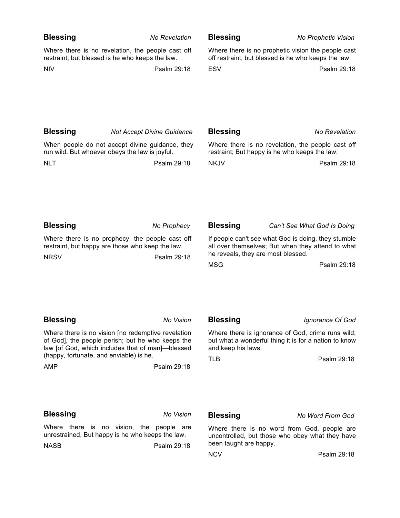| <b>Blessing</b>                                                                                      | No Revelation                                                                                                                                                                                                            | <b>Blessing</b>                                                                                           | <b>No Prophetic Vision</b>                                                                                                                                    |
|------------------------------------------------------------------------------------------------------|--------------------------------------------------------------------------------------------------------------------------------------------------------------------------------------------------------------------------|-----------------------------------------------------------------------------------------------------------|---------------------------------------------------------------------------------------------------------------------------------------------------------------|
| Where there is no revelation, the people cast off<br>restraint; but blessed is he who keeps the law. |                                                                                                                                                                                                                          | Where there is no prophetic vision the people cast<br>off restraint, but blessed is he who keeps the law. |                                                                                                                                                               |
| <b>NIV</b>                                                                                           | Psalm 29:18                                                                                                                                                                                                              | <b>ESV</b>                                                                                                | Psalm 29:18                                                                                                                                                   |
| <b>Blessing</b>                                                                                      | <b>Not Accept Divine Guidance</b>                                                                                                                                                                                        | <b>Blessing</b>                                                                                           | <b>No Revelation</b>                                                                                                                                          |
| When people do not accept divine guidance, they<br>run wild. But whoever obeys the law is joyful.    |                                                                                                                                                                                                                          | Where there is no revelation, the people cast off<br>restraint; But happy is he who keeps the law.        |                                                                                                                                                               |
| <b>NLT</b>                                                                                           | Psalm 29:18                                                                                                                                                                                                              | <b>NKJV</b>                                                                                               | Psalm 29:18                                                                                                                                                   |
| <b>Blessing</b>                                                                                      | No Prophecy                                                                                                                                                                                                              | <b>Blessing</b>                                                                                           | Can't See What God Is Doing                                                                                                                                   |
| <b>NRSV</b>                                                                                          | Where there is no prophecy, the people cast off<br>restraint, but happy are those who keep the law.<br>Psalm 29:18                                                                                                       | <b>MSG</b>                                                                                                | If people can't see what God is doing, they stumble<br>all over themselves; But when they attend to what<br>he reveals, they are most blessed.<br>Psalm 29:18 |
| <b>Blessing</b>                                                                                      | No Vision                                                                                                                                                                                                                | <b>Blessing</b>                                                                                           | Ignorance Of God                                                                                                                                              |
| (happy, fortunate, and enviable) is he.<br><b>AMP</b>                                                | Where there is no vision [no redemptive revelation<br>of God], the people perish; but he who keeps the<br>law [of God, which includes that of man]-blessed<br>Psalm 29:18                                                | and keep his laws.<br><b>TLB</b>                                                                          | Where there is ignorance of God, crime runs wild;<br>but what a wonderful thing it is for a nation to know<br>Psalm 29:18                                     |
| <b>Blessing</b>                                                                                      | No Vision                                                                                                                                                                                                                | <b>Blessing</b>                                                                                           | No Word From God                                                                                                                                              |
|                                                                                                      | Where there is no vision, the people are<br>Where there is no word from God, people are<br>unrestrained, But happy is he who keeps the law.<br>uncontrolled, but those who obey what they have<br>been taught are happy. |                                                                                                           |                                                                                                                                                               |
| <b>NASB</b>                                                                                          | Psalm 29:18                                                                                                                                                                                                              | <b>NCV</b>                                                                                                | Psalm 29:18                                                                                                                                                   |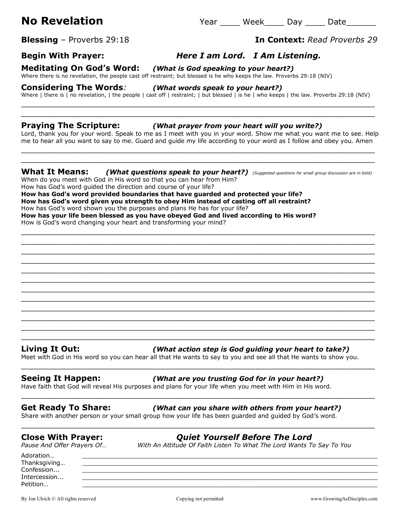**Blessing** – Proverbs 29:18 **In Context:** *Read Proverbs 29*

# **Begin With Prayer:** *Here I am Lord. I Am Listening.*

# **Meditating On God's Word:** *(What is God speaking to your heart?)*

Where there is no revelation, the people cast off restraint; but blessed is he who keeps the law. Proverbs 29:18 (NIV)

### **Considering The Words***: (What words speak to your heart?)*

Where | there is | no revelation, | the people | cast off | restraint; | but blessed | is he | who keeps | the law. Proverbs 29:18 (NIV) \_\_\_\_\_\_\_\_\_\_\_\_\_\_\_\_\_\_\_\_\_\_\_\_\_\_\_\_\_\_\_\_\_\_\_\_\_\_\_\_\_\_\_\_\_\_\_\_\_\_\_\_\_\_\_\_\_\_\_\_\_\_\_\_\_\_\_\_\_\_\_

\_\_\_\_\_\_\_\_\_\_\_\_\_\_\_\_\_\_\_\_\_\_\_\_\_\_\_\_\_\_\_\_\_\_\_\_\_\_\_\_\_\_\_\_\_\_\_\_\_\_\_\_\_\_\_\_\_\_\_\_\_\_\_\_\_\_\_\_\_\_\_

### **Praying The Scripture:** *(What prayer from your heart will you write?)*

Lord, thank you for your word. Speak to me as I meet with you in your word. Show me what you want me to see. Help me to hear all you want to say to me. Guard and guide my life according to your word as I follow and obey you. Amen

\_\_\_\_\_\_\_\_\_\_\_\_\_\_\_\_\_\_\_\_\_\_\_\_\_\_\_\_\_\_\_\_\_\_\_\_\_\_\_\_\_\_\_\_\_\_\_\_\_\_\_\_\_\_\_\_\_\_\_\_\_\_\_\_\_\_\_\_\_\_\_ \_\_\_\_\_\_\_\_\_\_\_\_\_\_\_\_\_\_\_\_\_\_\_\_\_\_\_\_\_\_\_\_\_\_\_\_\_\_\_\_\_\_\_\_\_\_\_\_\_\_\_\_\_\_\_\_\_\_\_\_\_\_\_\_\_\_\_\_\_\_\_

### **What It Means:** *(What questions speak to your heart?) (Suggested questions for small group discussion are in bold)*

\_\_\_\_\_\_\_\_\_\_\_\_\_\_\_\_\_\_\_\_\_\_\_\_\_\_\_\_\_\_\_\_\_\_\_\_\_\_\_\_\_\_\_\_\_\_\_\_\_\_\_\_\_\_\_\_\_\_\_\_\_\_\_\_\_\_\_\_\_\_\_ \_\_\_\_\_\_\_\_\_\_\_\_\_\_\_\_\_\_\_\_\_\_\_\_\_\_\_\_\_\_\_\_\_\_\_\_\_\_\_\_\_\_\_\_\_\_\_\_\_\_\_\_\_\_\_\_\_\_\_\_\_\_\_\_\_\_\_\_\_\_\_ \_\_\_\_\_\_\_\_\_\_\_\_\_\_\_\_\_\_\_\_\_\_\_\_\_\_\_\_\_\_\_\_\_\_\_\_\_\_\_\_\_\_\_\_\_\_\_\_\_\_\_\_\_\_\_\_\_\_\_\_\_\_\_\_\_\_\_\_\_\_\_ \_\_\_\_\_\_\_\_\_\_\_\_\_\_\_\_\_\_\_\_\_\_\_\_\_\_\_\_\_\_\_\_\_\_\_\_\_\_\_\_\_\_\_\_\_\_\_\_\_\_\_\_\_\_\_\_\_\_\_\_\_\_\_\_\_\_\_\_\_\_\_

When do you meet with God in His word so that you can hear from Him?

How has God's word guided the direction and course of your life? **How has God's word provided boundaries that have guarded and protected your life? How has God's word given you strength to obey Him instead of casting off all restraint?**

How has God's word shown you the purposes and plans He has for your life?

**How has your life been blessed as you have obeyed God and lived according to His word?** How is God's word changing your heart and transforming your mind?

### **Living It Out:** *(What action step is God guiding your heart to take?)*

Meet with God in His word so you can hear all that He wants to say to you and see all that He wants to show you.

\_\_\_\_\_\_\_\_\_\_\_\_\_\_\_\_\_\_\_\_\_\_\_\_\_\_\_\_\_\_\_\_\_\_\_\_\_\_\_\_\_\_\_\_\_\_\_\_\_\_\_\_\_\_\_\_\_\_\_\_\_\_\_\_\_\_\_\_\_\_\_ \_\_\_\_\_\_\_\_\_\_\_\_\_\_\_\_\_\_\_\_\_\_\_\_\_\_\_\_\_\_\_\_\_\_\_\_\_\_\_\_\_\_\_\_\_\_\_\_\_\_\_\_\_\_\_\_\_\_\_\_\_\_\_\_\_\_\_\_\_\_\_

\_\_\_\_\_\_\_\_\_\_\_\_\_\_\_\_\_\_\_\_\_\_\_\_\_\_\_\_\_\_\_\_\_\_\_\_\_\_\_\_\_\_\_\_\_\_\_\_\_\_\_\_\_\_\_\_\_\_\_\_\_\_\_\_\_\_\_\_\_\_\_

\_\_\_\_\_\_\_\_\_\_\_\_\_\_\_\_\_\_\_\_\_\_\_\_\_\_\_\_\_\_\_\_\_\_\_\_\_\_\_\_\_\_\_\_\_\_\_\_\_\_\_\_\_\_\_\_\_\_\_\_\_\_\_\_\_\_\_\_\_\_\_

### **Seeing It Happen:** *(What are you trusting God for in your heart?)*

Have faith that God will reveal His purposes and plans for your life when you meet with Him in His word.

### **Get Ready To Share:** *(What can you share with others from your heart?)*

Share with another person or your small group how your life has been guarded and guided by God's word.

### **Close With Prayer:** *Quiet Yourself Before The Lord*

*Pause And Offer Prayers Of… With An Attitude Of Faith Listen To What The Lord Wants To Say To You*

Adoration… \_\_\_\_\_\_\_\_\_\_\_\_\_\_\_\_\_\_\_\_\_\_\_\_\_\_\_\_\_\_\_\_\_\_\_\_\_\_\_\_\_\_\_\_\_\_\_\_\_\_\_\_\_\_\_\_\_\_\_\_\_\_\_\_\_\_\_\_\_\_\_\_\_\_\_\_\_\_\_ Thanksgiving... Confession... \_\_\_\_\_\_\_\_\_\_\_\_\_\_\_\_\_\_\_\_\_\_\_\_\_\_\_\_\_\_\_\_\_\_\_\_\_\_\_\_\_\_\_\_\_\_\_\_\_\_\_\_\_\_\_\_\_\_\_\_\_\_\_\_\_\_\_\_\_\_\_\_\_\_\_\_\_\_\_ Intercession... \_\_\_\_\_\_\_\_\_\_\_\_\_\_\_\_\_\_\_\_\_\_\_\_\_\_\_\_\_\_\_\_\_\_\_\_\_\_\_\_\_\_\_\_\_\_\_\_\_\_\_\_\_\_\_\_\_\_\_\_\_\_\_\_\_\_\_\_\_\_\_\_\_\_\_\_\_\_\_ Petition… \_\_\_\_\_\_\_\_\_\_\_\_\_\_\_\_\_\_\_\_\_\_\_\_\_\_\_\_\_\_\_\_\_\_\_\_\_\_\_\_\_\_\_\_\_\_\_\_\_\_\_\_\_\_\_\_\_\_\_\_\_\_\_\_\_\_\_\_\_\_\_\_\_\_\_\_\_\_\_

By Jon Ulrich © All rights reserved examples are compared copying not permitted www.GrowingAsDisciples.com

### \_\_\_\_\_\_\_\_\_\_\_\_\_\_\_\_\_\_\_\_\_\_\_\_\_\_\_\_\_\_\_\_\_\_\_\_\_\_\_\_\_\_\_\_\_\_\_\_\_\_\_\_\_\_\_\_\_\_\_\_\_\_\_\_\_\_\_\_\_\_\_ \_\_\_\_\_\_\_\_\_\_\_\_\_\_\_\_\_\_\_\_\_\_\_\_\_\_\_\_\_\_\_\_\_\_\_\_\_\_\_\_\_\_\_\_\_\_\_\_\_\_\_\_\_\_\_\_\_\_\_\_\_\_\_\_\_\_\_\_\_\_\_ \_\_\_\_\_\_\_\_\_\_\_\_\_\_\_\_\_\_\_\_\_\_\_\_\_\_\_\_\_\_\_\_\_\_\_\_\_\_\_\_\_\_\_\_\_\_\_\_\_\_\_\_\_\_\_\_\_\_\_\_\_\_\_\_\_\_\_\_\_\_\_ \_\_\_\_\_\_\_\_\_\_\_\_\_\_\_\_\_\_\_\_\_\_\_\_\_\_\_\_\_\_\_\_\_\_\_\_\_\_\_\_\_\_\_\_\_\_\_\_\_\_\_\_\_\_\_\_\_\_\_\_\_\_\_\_\_\_\_\_\_\_\_ \_\_\_\_\_\_\_\_\_\_\_\_\_\_\_\_\_\_\_\_\_\_\_\_\_\_\_\_\_\_\_\_\_\_\_\_\_\_\_\_\_\_\_\_\_\_\_\_\_\_\_\_\_\_\_\_\_\_\_\_\_\_\_\_\_\_\_\_\_\_\_ \_\_\_\_\_\_\_\_\_\_\_\_\_\_\_\_\_\_\_\_\_\_\_\_\_\_\_\_\_\_\_\_\_\_\_\_\_\_\_\_\_\_\_\_\_\_\_\_\_\_\_\_\_\_\_\_\_\_\_\_\_\_\_\_\_\_\_\_\_\_\_

# \_\_\_\_\_\_\_\_\_\_\_\_\_\_\_\_\_\_\_\_\_\_\_\_\_\_\_\_\_\_\_\_\_\_\_\_\_\_\_\_\_\_\_\_\_\_\_\_\_\_\_\_\_\_\_\_\_\_\_\_\_\_\_\_\_\_\_\_\_\_\_